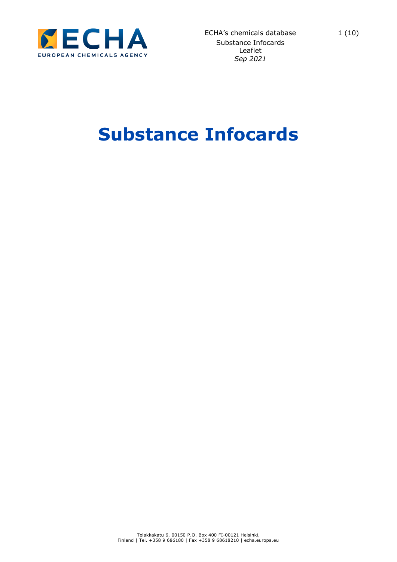

# **Substance Infocards**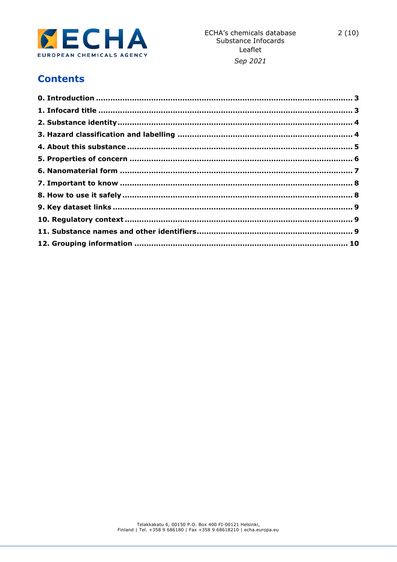

#### Sep 2021

## **Contents**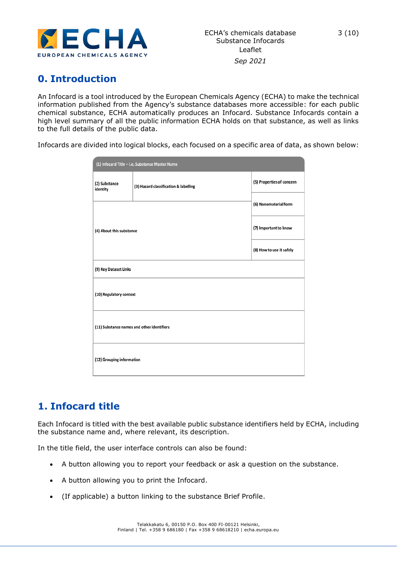

# <span id="page-2-0"></span>**0. Introduction**

An Infocard is a tool introduced by the European Chemicals Agency (ECHA) to make the technical information published from the Agency's substance databases more accessible: for each public chemical substance, ECHA automatically produces an Infocard. Substance Infocards contain a high level summary of all the public information ECHA holds on that substance, as well as links to the full details of the public data.

Infocards are divided into logical blocks, each focused on a specific area of data, as shown below:

| (1) Infocard Title - I.e. Substance Master Name |                                       |                           |  |
|-------------------------------------------------|---------------------------------------|---------------------------|--|
| (2) Substance<br>identity                       | (3) Hazard classification & labelling | (5) Properties of concern |  |
| (4) About this substance                        |                                       | (6) Nanomaterial form     |  |
|                                                 |                                       | (7) Important to know     |  |
|                                                 |                                       | (8) How to use it safely  |  |
| (9) Key Dataset Links                           |                                       |                           |  |
| (10) Regulatory context                         |                                       |                           |  |
| (11) Substance names and other identifiers      |                                       |                           |  |
| (12) Grouping information                       |                                       |                           |  |

### <span id="page-2-1"></span>**1. Infocard title**

Each Infocard is titled with the best available public substance identifiers held by ECHA, including the substance name and, where relevant, its description.

In the title field, the user interface controls can also be found:

- A button allowing you to report your feedback or ask a question on the substance.
- A button allowing you to print the Infocard.
- (If applicable) a button linking to the substance Brief Profile.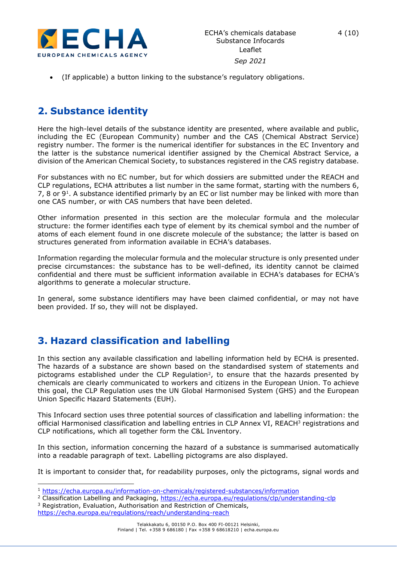

• (If applicable) a button linking to the substance's regulatory obligations.

#### <span id="page-3-0"></span>**2. Substance identity**

Here the high-level details of the substance identity are presented, where available and public, including the EC (European Community) number and the CAS (Chemical Abstract Service) registry number. The former is the numerical identifier for substances in the EC Inventory and the latter is the substance numerical identifier assigned by the Chemical Abstract Service, a division of the American Chemical Society, to substances registered in the CAS registry database.

For substances with no EC number, but for which dossiers are submitted under the REACH and CLP regulations, ECHA attributes a list number in the same format, starting with the numbers 6, 7, 8 or 9<sup>1</sup>. A substance identified primarly by an EC or list number may be linked with more than one CAS number, or with CAS numbers that have been deleted.

Other information presented in this section are the molecular formula and the molecular structure: the former identifies each type of element by its chemical symbol and the number of atoms of each element found in one discrete molecule of the substance; the latter is based on structures generated from information available in ECHA's databases.

Information regarding the molecular formula and the molecular structure is only presented under precise circumstances: the substance has to be well-defined, its identity cannot be claimed confidential and there must be sufficient information available in ECHA's databases for ECHA's algorithms to generate a molecular structure.

In general, some substance identifiers may have been claimed confidential, or may not have been provided. If so, they will not be displayed.

### <span id="page-3-1"></span>**3. Hazard classification and labelling**

In this section any available classification and labelling information held by ECHA is presented. The hazards of a substance are shown based on the standardised system of statements and pictograms established under the CLP Regulation<sup>2</sup>, to ensure that the hazards presented by chemicals are clearly communicated to workers and citizens in the European Union. To achieve this goal, the CLP Regulation uses the UN Global Harmonised System (GHS) and the European Union Specific Hazard Statements (EUH).

This Infocard section uses three potential sources of classification and labelling information: the official Harmonised classification and labelling entries in CLP Annex VI, REACH<sup>3</sup> registrations and CLP notifications, which all together form the C&L Inventory.

In this section, information concerning the hazard of a substance is summarised automatically into a readable paragraph of text. Labelling pictograms are also displayed.

It is important to consider that, for readability purposes, only the pictograms, signal words and

<sup>3</sup> Registration, Evaluation, Authorisation and Restriction of Chemicals,

<sup>1</sup> <https://echa.europa.eu/information-on-chemicals/registered-substances/information>

<sup>2</sup> Classification Labelling and Packaging,<https://echa.europa.eu/regulations/clp/understanding-clp>

<https://echa.europa.eu/regulations/reach/understanding-reach>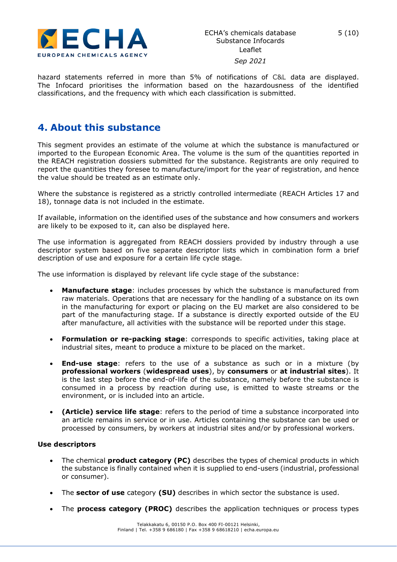

#### *Sep 2021*

hazard statements referred in more than 5% of notifications of C&L data are displayed. The Infocard prioritises the information based on the hazardousness of the identified classifications, and the frequency with which each classification is submitted.

#### <span id="page-4-0"></span>**4. About this substance**

This segment provides an estimate of the volume at which the substance is manufactured or imported to the European Economic Area. The volume is the sum of the quantities reported in the REACH registration dossiers submitted for the substance. Registrants are only required to report the quantities they foresee to manufacture/import for the year of registration, and hence the value should be treated as an estimate only.

Where the substance is registered as a strictly controlled intermediate (REACH Articles 17 and 18), tonnage data is not included in the estimate.

If available, information on the identified uses of the substance and how consumers and workers are likely to be exposed to it, can also be displayed here.

The use information is aggregated from REACH dossiers provided by industry through a use descriptor system based on five separate descriptor lists which in combination form a brief description of use and exposure for a certain life cycle stage.

The use information is displayed by relevant life cycle stage of the substance:

- **Manufacture stage**: includes processes by which the substance is manufactured from raw materials. Operations that are necessary for the handling of a substance on its own in the manufacturing for export or placing on the EU market are also considered to be part of the manufacturing stage. If a substance is directly exported outside of the EU after manufacture, all activities with the substance will be reported under this stage.
- **Formulation or re-packing stage**: corresponds to specific activities, taking place at industrial sites, meant to produce a mixture to be placed on the market.
- **End-use stage**: refers to the use of a substance as such or in a mixture (by **professional workers** (**widespread uses**), by **consumers** or **at industrial sites**). It is the last step before the end-of-life of the substance, namely before the substance is consumed in a process by reaction during use, is emitted to waste streams or the environment, or is included into an article.
- **(Article) service life stage**: refers to the period of time a substance incorporated into an article remains in service or in use. Articles containing the substance can be used or processed by consumers, by workers at industrial sites and/or by professional workers.

#### **Use descriptors**

- The chemical **product category (PC)** describes the types of chemical products in which the substance is finally contained when it is supplied to end-users (industrial, professional or consumer).
- The **sector of use** category **(SU)** describes in which sector the substance is used.
- The **process category (PROC)** describes the application techniques or process types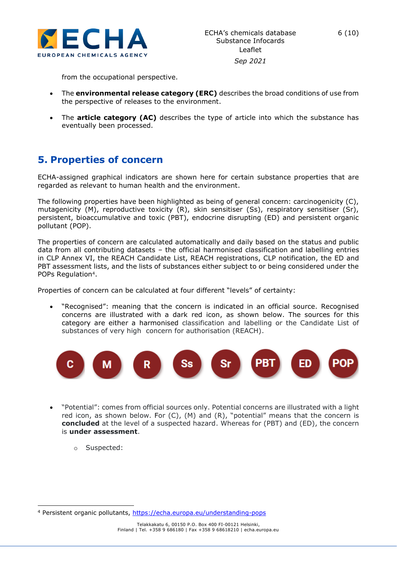

from the occupational perspective.

- The **environmental release category (ERC)** describes the broad conditions of use from the perspective of releases to the environment.
- The **article category (AC)** describes the type of article into which the substance has eventually been processed.

#### <span id="page-5-0"></span>**5. Properties of concern**

ECHA-assigned graphical indicators are shown here for certain substance properties that are regarded as relevant to human health and the environment.

The following properties have been highlighted as being of general concern: carcinogenicity (C), mutagenicity (M), reproductive toxicity (R), skin sensitiser (Ss), respiratory sensitiser (Sr), persistent, bioaccumulative and toxic (PBT), endocrine disrupting (ED) and persistent organic pollutant (POP).

The properties of concern are calculated automatically and daily based on the status and public data from all contributing datasets – the official harmonised classification and labelling entries in CLP Annex VI, the REACH Candidate List, REACH registrations, CLP notification, the ED and PBT assessment lists, and the lists of substances either subject to or being considered under the POPs Regulation<sup>4</sup>.

Properties of concern can be calculated at four different "levels" of certainty:

• "Recognised": meaning that the concern is indicated in an official source. Recognised concerns are illustrated with a dark red icon, as shown below. The sources for this category are either a harmonised classification and labelling or the Candidate List of substances of very high concern for authorisation (REACH).



- "Potential": comes from official sources only. Potential concerns are illustrated with a light red icon, as shown below. For (C), (M) and (R), "potential" means that the concern is **concluded** at the level of a suspected hazard. Whereas for (PBT) and (ED), the concern is **under assessment**.
	- o Suspected:

<sup>4</sup> Persistent organic pollutants, <https://echa.europa.eu/understanding-pops>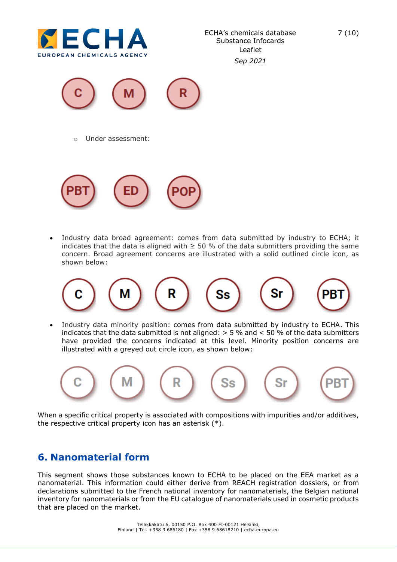

```
Sep 2021
```


o Under assessment:



• Industry data broad agreement: comes from data submitted by industry to ECHA; it indicates that the data is aligned with  $\geq$  50 % of the data submitters providing the same concern. Broad agreement concerns are illustrated with a solid outlined circle icon, as shown below:



• Industry data minority position: comes from data submitted by industry to ECHA. This indicates that the data submitted is not aligned: > 5 % and < 50 % of the data submitters have provided the concerns indicated at this level. Minority position concerns are illustrated with a greyed out circle icon, as shown below:



When a specific critical property is associated with compositions with impurities and/or additives, the respective critical property icon has an asterisk (\*).

### <span id="page-6-0"></span>**6. Nanomaterial form**

This segment shows those substances known to ECHA to be placed on the EEA market as a nanomaterial. This information could either derive from REACH registration dossiers, or from declarations submitted to the French national inventory for nanomaterials, the Belgian national inventory for nanomaterials or from the EU catalogue of nanomaterials used in cosmetic products that are placed on the market.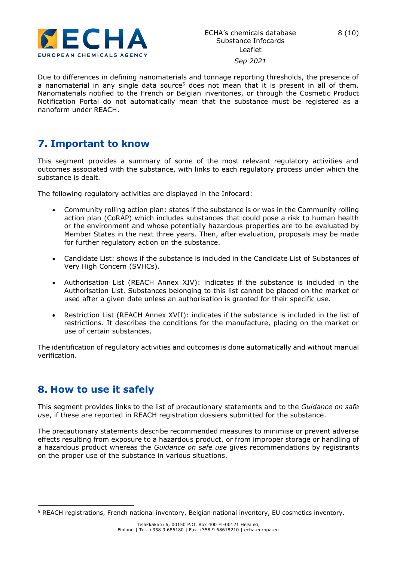

*Sep 2021*

Due to differences in defining nanomaterials and tonnage reporting thresholds, the presence of a nanomaterial in any single data source<sup>5</sup> does not mean that it is present in all of them. Nanomaterials notified to the French or Belgian inventories, or through the Cosmetic Product Notification Portal do not automatically mean that the substance must be registered as a nanoform under REACH.

#### <span id="page-7-0"></span>**7. Important to know**

This segment provides a summary of some of the most relevant regulatory activities and outcomes associated with the substance, with links to each regulatory process under which the substance is dealt.

The following regulatory activities are displayed in the Infocard:

- Community rolling action plan: states if the substance is or was in the Community rolling action plan (CoRAP) which includes substances that could pose a risk to human health or the environment and whose potentially hazardous properties are to be evaluated by Member States in the next three years. Then, after evaluation, proposals may be made for further regulatory action on the substance.
- Candidate List: shows if the substance is included in the Candidate List of Substances of Very High Concern (SVHCs).
- Authorisation List (REACH Annex XIV): indicates if the substance is included in the Authorisation List. Substances belonging to this list cannot be placed on the market or used after a given date unless an authorisation is granted for their specific use.
- Restriction List (REACH Annex XVII): indicates if the substance is included in the list of restrictions. It describes the conditions for the manufacture, placing on the market or use of certain substances.

The identification of regulatory activities and outcomes is done automatically and without manual verification.

### <span id="page-7-1"></span>**8. How to use it safely**

This segment provides links to the list of precautionary statements and to the *Guidance on safe use*, if these are reported in REACH registration dossiers submitted for the substance.

The precautionary statements describe recommended measures to minimise or prevent adverse effects resulting from exposure to a hazardous product, or from improper storage or handling of a hazardous product whereas the *Guidance on safe use* gives recommendations by registrants on the proper use of the substance in various situations.

<sup>5</sup> REACH registrations, French national inventory, Belgian national inventory, EU cosmetics inventory.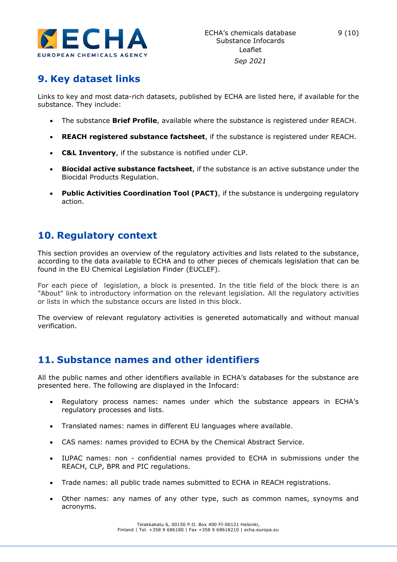

# <span id="page-8-0"></span>**9. Key dataset links**

Links to key and most data-rich datasets, published by ECHA are listed here, if available for the substance. They include:

- The substance **Brief Profile**, available where the substance is registered under REACH.
- **REACH registered substance factsheet**, if the substance is registered under REACH.
- **C&L Inventory**, if the substance is notified under CLP.
- **Biocidal active substance factsheet**, if the substance is an active substance under the Biocidal Products Regulation.
- **Public Activities Coordination Tool (PACT)**, if the substance is undergoing regulatory action.

### <span id="page-8-1"></span>**10. Regulatory context**

This section provides an overview of the regulatory activities and lists related to the substance, according to the data available to ECHA and to other pieces of chemicals legislation that can be found in the EU Chemical Legislation Finder (EUCLEF).

For each piece of legislation, a block is presented. In the title field of the block there is an "About" link to introductory information on the relevant legislation. All the regulatory activities or lists in which the substance occurs are listed in this block.

The overview of relevant regulatory activities is genereted automatically and without manual verification.

#### <span id="page-8-2"></span>**11. Substance names and other identifiers**

All the public names and other identifiers available in ECHA's databases for the substance are presented here. The following are displayed in the Infocard:

- Regulatory process names: names under which the substance appears in ECHA's regulatory processes and lists.
- Translated names: names in different EU languages where available.
- CAS names: names provided to ECHA by the Chemical Abstract Service.
- IUPAC names: non confidential names provided to ECHA in submissions under the REACH, CLP, BPR and PIC regulations.
- Trade names: all public trade names submitted to ECHA in REACH registrations.
- Other names: any names of any other type, such as common names, synoyms and acronyms.